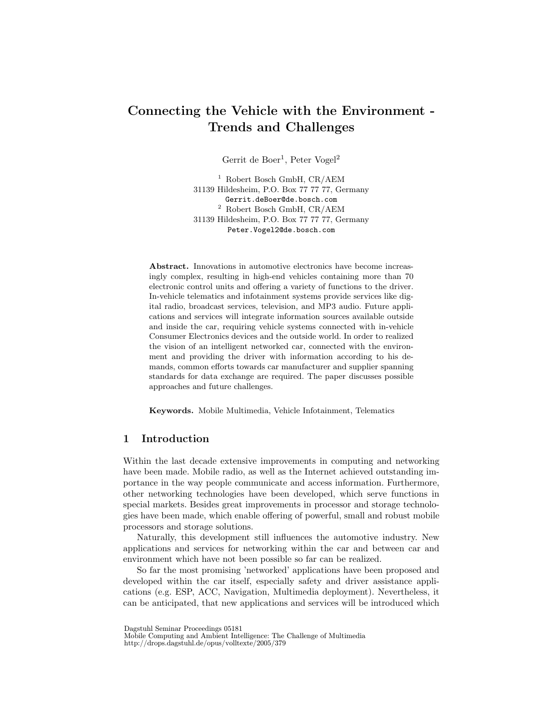# Connecting the Vehicle with the Environment - Trends and Challenges

Gerrit de Boer<sup>1</sup>, Peter Vogel<sup>2</sup>

<sup>1</sup> Robert Bosch GmbH, CR/AEM 31139 Hildesheim, P.O. Box 77 77 77, Germany Gerrit.deBoer@de.bosch.com  $^2$ Robert Bosch GmbH, CR/AEM 31139 Hildesheim, P.O. Box 77 77 77, Germany Peter.Vogel2@de.bosch.com

Abstract. Innovations in automotive electronics have become increasingly complex, resulting in high-end vehicles containing more than 70 electronic control units and offering a variety of functions to the driver. In-vehicle telematics and infotainment systems provide services like digital radio, broadcast services, television, and MP3 audio. Future applications and services will integrate information sources available outside and inside the car, requiring vehicle systems connected with in-vehicle Consumer Electronics devices and the outside world. In order to realized the vision of an intelligent networked car, connected with the environment and providing the driver with information according to his demands, common efforts towards car manufacturer and supplier spanning standards for data exchange are required. The paper discusses possible approaches and future challenges.

Keywords. Mobile Multimedia, Vehicle Infotainment, Telematics

# 1 Introduction

Within the last decade extensive improvements in computing and networking have been made. Mobile radio, as well as the Internet achieved outstanding importance in the way people communicate and access information. Furthermore, other networking technologies have been developed, which serve functions in special markets. Besides great improvements in processor and storage technologies have been made, which enable offering of powerful, small and robust mobile processors and storage solutions.

Naturally, this development still influences the automotive industry. New applications and services for networking within the car and between car and environment which have not been possible so far can be realized.

So far the most promising 'networked' applications have been proposed and developed within the car itself, especially safety and driver assistance applications (e.g. ESP, ACC, Navigation, Multimedia deployment). Nevertheless, it can be anticipated, that new applications and services will be introduced which

Dagstuhl Seminar Proceedings 05181

Mobile Computing and Ambient Intelligence: The Challenge of Multimedia http://drops.dagstuhl.de/opus/volltexte/2005/379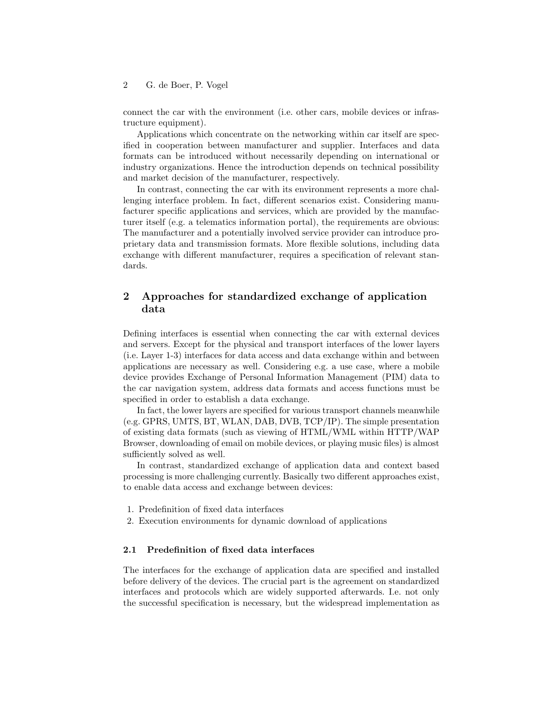#### 2 G. de Boer, P. Vogel

connect the car with the environment (i.e. other cars, mobile devices or infrastructure equipment).

Applications which concentrate on the networking within car itself are specified in cooperation between manufacturer and supplier. Interfaces and data formats can be introduced without necessarily depending on international or industry organizations. Hence the introduction depends on technical possibility and market decision of the manufacturer, respectively.

In contrast, connecting the car with its environment represents a more challenging interface problem. In fact, different scenarios exist. Considering manufacturer specific applications and services, which are provided by the manufacturer itself (e.g. a telematics information portal), the requirements are obvious: The manufacturer and a potentially involved service provider can introduce proprietary data and transmission formats. More flexible solutions, including data exchange with different manufacturer, requires a specification of relevant standards.

# <span id="page-1-0"></span>2 Approaches for standardized exchange of application data

Defining interfaces is essential when connecting the car with external devices and servers. Except for the physical and transport interfaces of the lower layers (i.e. Layer 1-3) interfaces for data access and data exchange within and between applications are necessary as well. Considering e.g. a use case, where a mobile device provides Exchange of Personal Information Management (PIM) data to the car navigation system, address data formats and access functions must be specified in order to establish a data exchange.

In fact, the lower layers are specified for various transport channels meanwhile (e.g. GPRS, UMTS, BT, WLAN, DAB, DVB, TCP/IP). The simple presentation of existing data formats (such as viewing of HTML/WML within HTTP/WAP Browser, downloading of email on mobile devices, or playing music files) is almost sufficiently solved as well.

In contrast, standardized exchange of application data and context based processing is more challenging currently. Basically two different approaches exist, to enable data access and exchange between devices:

- 1. Predefinition of fixed data interfaces
- 2. Execution environments for dynamic download of applications

#### 2.1 Predefinition of fixed data interfaces

The interfaces for the exchange of application data are specified and installed before delivery of the devices. The crucial part is the agreement on standardized interfaces and protocols which are widely supported afterwards. I.e. not only the successful specification is necessary, but the widespread implementation as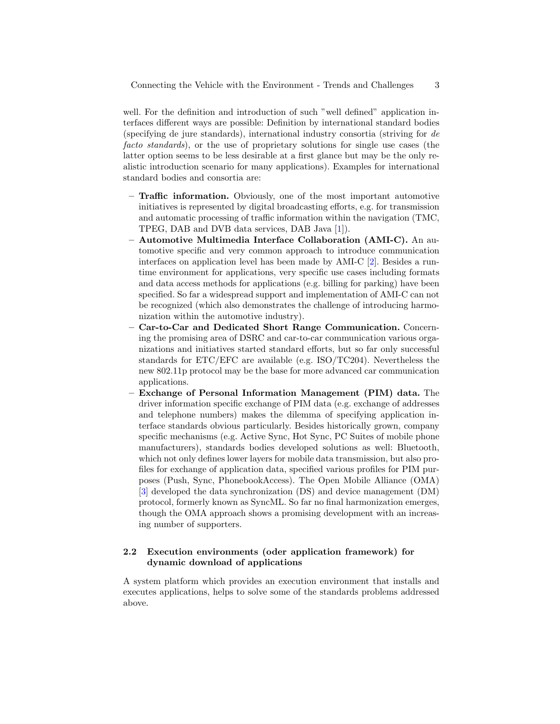well. For the definition and introduction of such "well defined" application interfaces different ways are possible: Definition by international standard bodies (specifying de jure standards), international industry consortia (striving for de facto standards), or the use of proprietary solutions for single use cases (the latter option seems to be less desirable at a first glance but may be the only realistic introduction scenario for many applications). Examples for international standard bodies and consortia are:

- Traffic information. Obviously, one of the most important automotive initiatives is represented by digital broadcasting efforts, e.g. for transmission and automatic processing of traffic information within the navigation (TMC, TPEG, DAB and DVB data services, DAB Java [\[1\]](#page-4-0)).
- Automotive Multimedia Interface Collaboration (AMI-C). An automotive specific and very common approach to introduce communication interfaces on application level has been made by AMI-C [\[2\]](#page-4-1). Besides a runtime environment for applications, very specific use cases including formats and data access methods for applications (e.g. billing for parking) have been specified. So far a widespread support and implementation of AMI-C can not be recognized (which also demonstrates the challenge of introducing harmonization within the automotive industry).
- Car-to-Car and Dedicated Short Range Communication. Concerning the promising area of DSRC and car-to-car communication various organizations and initiatives started standard efforts, but so far only successful standards for ETC/EFC are available (e.g. ISO/TC204). Nevertheless the new 802.11p protocol may be the base for more advanced car communication applications.
- Exchange of Personal Information Management (PIM) data. The driver information specific exchange of PIM data (e.g. exchange of addresses and telephone numbers) makes the dilemma of specifying application interface standards obvious particularly. Besides historically grown, company specific mechanisms (e.g. Active Sync, Hot Sync, PC Suites of mobile phone manufacturers), standards bodies developed solutions as well: Bluetooth, which not only defines lower layers for mobile data transmission, but also profiles for exchange of application data, specified various profiles for PIM purposes (Push, Sync, PhonebookAccess). The Open Mobile Alliance (OMA) [\[3\]](#page-4-2) developed the data synchronization (DS) and device management (DM) protocol, formerly known as SyncML. So far no final harmonization emerges, though the OMA approach shows a promising development with an increasing number of supporters.

# 2.2 Execution environments (oder application framework) for dynamic download of applications

A system platform which provides an execution environment that installs and executes applications, helps to solve some of the standards problems addressed above.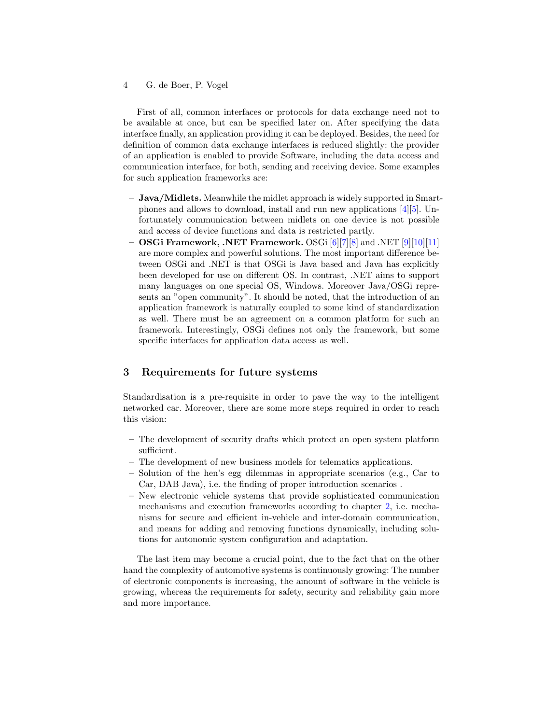#### 4 G. de Boer, P. Vogel

First of all, common interfaces or protocols for data exchange need not to be available at once, but can be specified later on. After specifying the data interface finally, an application providing it can be deployed. Besides, the need for definition of common data exchange interfaces is reduced slightly: the provider of an application is enabled to provide Software, including the data access and communication interface, for both, sending and receiving device. Some examples for such application frameworks are:

- Java/Midlets. Meanwhile the midlet approach is widely supported in Smartphones and allows to download, install and run new applications [\[4\]](#page-4-3)[\[5\]](#page-4-4). Unfortunately communication between midlets on one device is not possible and access of device functions and data is restricted partly.
- OSGi Framework, .NET Framework. OSGi [\[6\]](#page-4-5)[\[7\]](#page-4-6)[\[8\]](#page-4-7) and .NET [\[9\]](#page-4-8)[\[10\]](#page-4-9)[\[11\]](#page-4-10) are more complex and powerful solutions. The most important difference between OSGi and .NET is that OSGi is Java based and Java has explicitly been developed for use on different OS. In contrast, .NET aims to support many languages on one special OS, Windows. Moreover Java/OSGi represents an "open community". It should be noted, that the introduction of an application framework is naturally coupled to some kind of standardization as well. There must be an agreement on a common platform for such an framework. Interestingly, OSGi defines not only the framework, but some specific interfaces for application data access as well.

# 3 Requirements for future systems

Standardisation is a pre-requisite in order to pave the way to the intelligent networked car. Moreover, there are some more steps required in order to reach this vision:

- The development of security drafts which protect an open system platform sufficient.
- The development of new business models for telematics applications.
- Solution of the hen's egg dilemmas in appropriate scenarios (e.g., Car to Car, DAB Java), i.e. the finding of proper introduction scenarios .
- New electronic vehicle systems that provide sophisticated communication mechanisms and execution frameworks according to chapter [2,](#page-1-0) i.e. mechanisms for secure and efficient in-vehicle and inter-domain communication, and means for adding and removing functions dynamically, including solutions for autonomic system configuration and adaptation.

The last item may become a crucial point, due to the fact that on the other hand the complexity of automotive systems is continuously growing: The number of electronic components is increasing, the amount of software in the vehicle is growing, whereas the requirements for safety, security and reliability gain more and more importance.